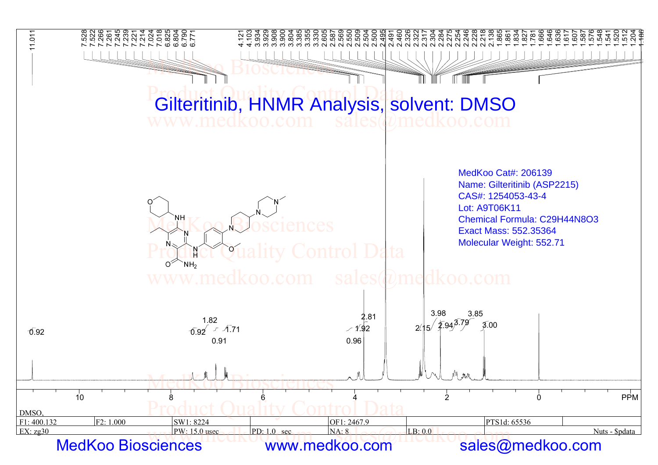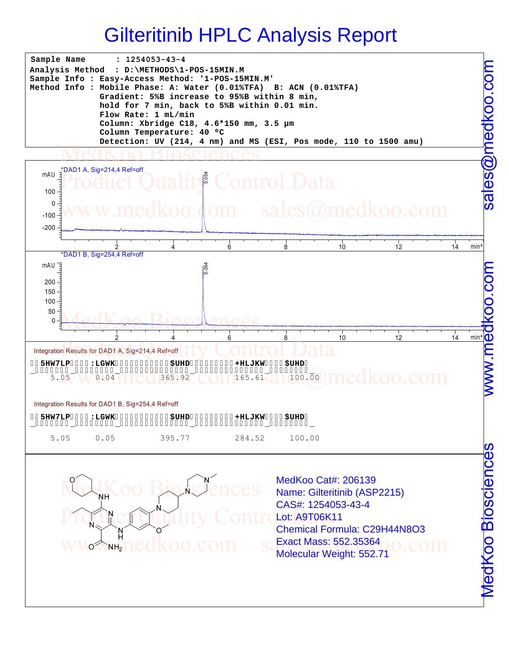



WWWW.Hedkoo.com sexact Mass: 552.3536400.com

CAS#: 1254053-43-4

Exact Mass: 552.35364

Chemical Formula: C29H44N8O3

Lot: A9T06K11

Product Quality Control Chemisel Form